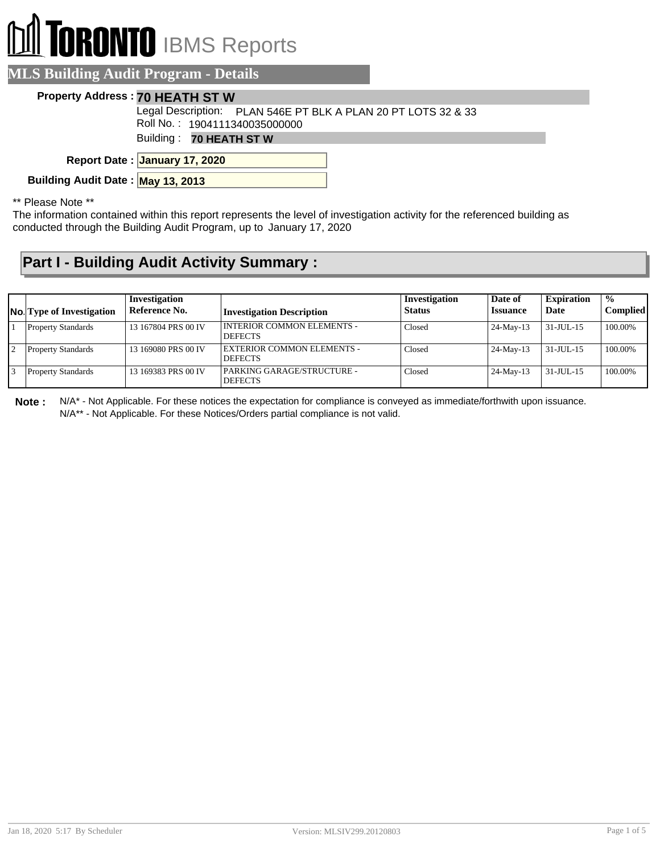# **RONTO** IBMS Reports

#### **MLS Building Audit Program - Details**

#### **Property Address : 70 HEATH ST W**

Roll No. : 1904111340035000000 Legal Description: PLAN 546E PT BLK A PLAN 20 PT LOTS 32 & 33

Building : **70 HEATH ST W**

**January 17, 2020 Report Date :**

**Building Audit Date : May 13, 2013**

\*\* Please Note \*\*

The information contained within this report represents the level of investigation activity for the referenced building as conducted through the Building Audit Program, up to January 17, 2020

### **Part I - Building Audit Activity Summary :**

| <b>No.</b> Type of Investigation | Investigation<br>Reference No. | <b>Investigation Description</b>               | Investigation<br><b>Status</b> | Date of<br><b>Issuance</b> | <b>Expiration</b><br>Date | $\frac{1}{2}$<br><b>Complied</b> |
|----------------------------------|--------------------------------|------------------------------------------------|--------------------------------|----------------------------|---------------------------|----------------------------------|
| <b>Property Standards</b>        | 13 167804 PRS 00 IV            | I INTERIOR COMMON ELEMENTS -<br><b>DEFECTS</b> | Closed                         | $24$ -May-13               | 31-JUL-15                 | 100.00%                          |
| <b>Property Standards</b>        | 13 169080 PRS 00 IV            | EXTERIOR COMMON ELEMENTS -<br><b>DEFECTS</b>   | Closed                         | $24$ -May-13               | 31-JUL-15                 | 100.00%                          |
| <b>Property Standards</b>        | 13 169383 PRS 00 IV            | PARKING GARAGE/STRUCTURE -<br><b>DEFECTS</b>   | Closed                         | 24-May-13                  | 31-JUL-15                 | 100.00%                          |

**Note :** N/A\* - Not Applicable. For these notices the expectation for compliance is conveyed as immediate/forthwith upon issuance. N/A\*\* - Not Applicable. For these Notices/Orders partial compliance is not valid.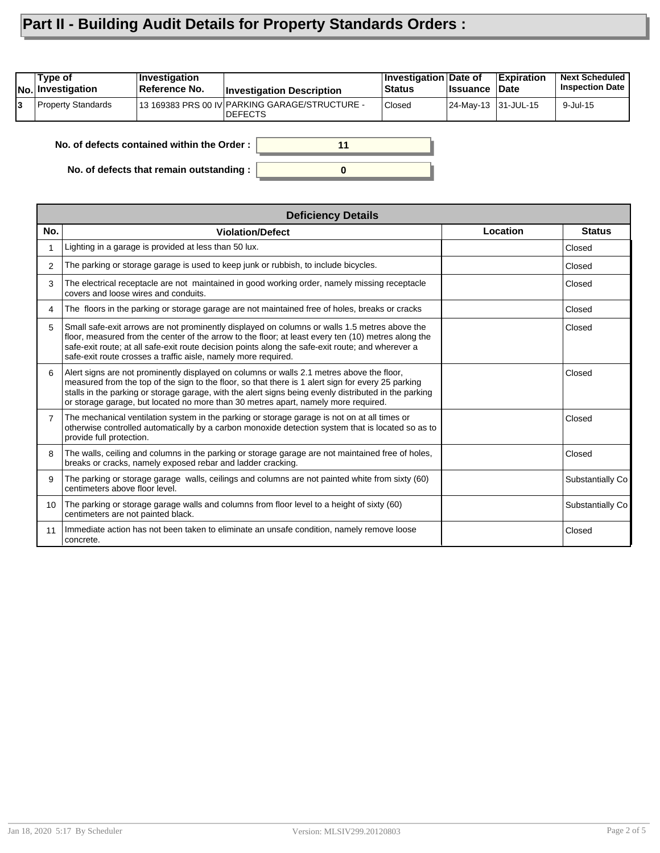## **Part II - Building Audit Details for Property Standards Orders :**

| Type of<br><b>No. Investigation</b> | <b>Investigation</b><br>Reference No. | <b>Investigation Description</b>                                 | ∣Investigation ∣Date of<br><b>Status</b> | <b>Issuance</b>     | <b>Expiration</b><br>∣Date | <b>Next Scheduled</b><br><b>Inspection Date</b> |
|-------------------------------------|---------------------------------------|------------------------------------------------------------------|------------------------------------------|---------------------|----------------------------|-------------------------------------------------|
| <b>Property Standards</b>           |                                       | 13 169383 PRS 00 IV PARKING GARAGE/STRUCTURE -<br><b>DEFECTS</b> | Closed                                   | 24-May-13 31-JUL-15 |                            | 9-Jul-15                                        |
|                                     |                                       |                                                                  |                                          |                     |                            |                                                 |

**0**

**11**

**No. of defects contained within the Order :**

**No. of defects that remain outstanding :**

|                 | <b>Deficiency Details</b>                                                                                                                                                                                                                                                                                                                                                                      |          |                  |  |  |  |
|-----------------|------------------------------------------------------------------------------------------------------------------------------------------------------------------------------------------------------------------------------------------------------------------------------------------------------------------------------------------------------------------------------------------------|----------|------------------|--|--|--|
| No.             | <b>Violation/Defect</b>                                                                                                                                                                                                                                                                                                                                                                        | Location | <b>Status</b>    |  |  |  |
|                 | Lighting in a garage is provided at less than 50 lux.                                                                                                                                                                                                                                                                                                                                          |          | Closed           |  |  |  |
| 2               | The parking or storage garage is used to keep junk or rubbish, to include bicycles.                                                                                                                                                                                                                                                                                                            |          | Closed           |  |  |  |
| 3               | The electrical receptacle are not maintained in good working order, namely missing receptacle<br>covers and loose wires and conduits.                                                                                                                                                                                                                                                          |          | Closed           |  |  |  |
| 4               | The floors in the parking or storage garage are not maintained free of holes, breaks or cracks                                                                                                                                                                                                                                                                                                 |          | Closed           |  |  |  |
| 5               | Small safe-exit arrows are not prominently displayed on columns or walls 1.5 metres above the<br>floor, measured from the center of the arrow to the floor; at least every ten (10) metres along the<br>safe-exit route; at all safe-exit route decision points along the safe-exit route; and wherever a<br>safe-exit route crosses a traffic aisle, namely more required.                    |          | Closed           |  |  |  |
| 6               | Alert signs are not prominently displayed on columns or walls 2.1 metres above the floor,<br>measured from the top of the sign to the floor, so that there is 1 alert sign for every 25 parking<br>stalls in the parking or storage garage, with the alert signs being evenly distributed in the parking<br>or storage garage, but located no more than 30 metres apart, namely more required. |          | Closed           |  |  |  |
| 7               | The mechanical ventilation system in the parking or storage garage is not on at all times or<br>otherwise controlled automatically by a carbon monoxide detection system that is located so as to<br>provide full protection.                                                                                                                                                                  |          | Closed           |  |  |  |
| 8               | The walls, ceiling and columns in the parking or storage garage are not maintained free of holes,<br>breaks or cracks, namely exposed rebar and ladder cracking.                                                                                                                                                                                                                               |          | Closed           |  |  |  |
| 9               | The parking or storage garage walls, ceilings and columns are not painted white from sixty (60)<br>centimeters above floor level.                                                                                                                                                                                                                                                              |          | Substantially Co |  |  |  |
| 10 <sup>°</sup> | The parking or storage garage walls and columns from floor level to a height of sixty (60)<br>centimeters are not painted black.                                                                                                                                                                                                                                                               |          | Substantially Co |  |  |  |
| 11              | Immediate action has not been taken to eliminate an unsafe condition, namely remove loose<br>concrete.                                                                                                                                                                                                                                                                                         |          | Closed           |  |  |  |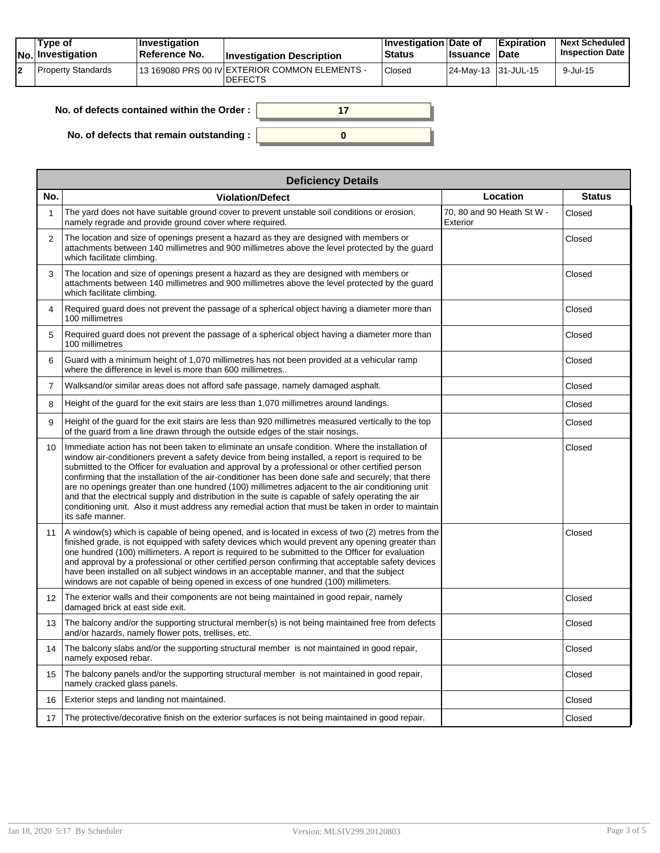|  | Tvpe of<br>$ No $ Investigation | $\blacksquare$ Investigation<br>⊺Reference No. | <b>Investigation Description</b>                                  | <b>Investigation Date of</b><br><b>Status</b> | <b>Ilssuance Date</b> | <b>Expiration</b> | <b>Next Scheduled</b><br><b>Inspection Date</b> |
|--|---------------------------------|------------------------------------------------|-------------------------------------------------------------------|-----------------------------------------------|-----------------------|-------------------|-------------------------------------------------|
|  | Property Standards              |                                                | 113 169080 PRS 00 IV EXTERIOR COMMON ELEMENTS -<br><b>DEFECTS</b> | Closed                                        | 24-May-13 131-JUL-15  |                   | $9$ -Jul-15                                     |

| No. of defects contained within the Order: |  |
|--------------------------------------------|--|
| No. of defects that remain outstanding :   |  |

|                 | <b>Deficiency Details</b>                                                                                                                                                                                                                                                                                                                                                                                                                                                                                                                                                                                                                                                                                                                            |                                        |               |  |  |  |  |  |  |
|-----------------|------------------------------------------------------------------------------------------------------------------------------------------------------------------------------------------------------------------------------------------------------------------------------------------------------------------------------------------------------------------------------------------------------------------------------------------------------------------------------------------------------------------------------------------------------------------------------------------------------------------------------------------------------------------------------------------------------------------------------------------------------|----------------------------------------|---------------|--|--|--|--|--|--|
| No.             | <b>Violation/Defect</b>                                                                                                                                                                                                                                                                                                                                                                                                                                                                                                                                                                                                                                                                                                                              | Location                               | <b>Status</b> |  |  |  |  |  |  |
| 1               | The yard does not have suitable ground cover to prevent unstable soil conditions or erosion,<br>namely regrade and provide ground cover where required.                                                                                                                                                                                                                                                                                                                                                                                                                                                                                                                                                                                              | 70, 80 and 90 Heath St W -<br>Exterior | Closed        |  |  |  |  |  |  |
| 2               | The location and size of openings present a hazard as they are designed with members or<br>attachments between 140 millimetres and 900 millimetres above the level protected by the quard<br>which facilitate climbing.                                                                                                                                                                                                                                                                                                                                                                                                                                                                                                                              |                                        | Closed        |  |  |  |  |  |  |
| 3               | The location and size of openings present a hazard as they are designed with members or<br>attachments between 140 millimetres and 900 millimetres above the level protected by the quard<br>which facilitate climbing.                                                                                                                                                                                                                                                                                                                                                                                                                                                                                                                              |                                        | Closed        |  |  |  |  |  |  |
| $\overline{4}$  | Required guard does not prevent the passage of a spherical object having a diameter more than<br>100 millimetres                                                                                                                                                                                                                                                                                                                                                                                                                                                                                                                                                                                                                                     |                                        | Closed        |  |  |  |  |  |  |
| 5               | Required guard does not prevent the passage of a spherical object having a diameter more than<br>100 millimetres                                                                                                                                                                                                                                                                                                                                                                                                                                                                                                                                                                                                                                     |                                        | Closed        |  |  |  |  |  |  |
| 6               | Guard with a minimum height of 1,070 millimetres has not been provided at a vehicular ramp<br>where the difference in level is more than 600 millimetres                                                                                                                                                                                                                                                                                                                                                                                                                                                                                                                                                                                             |                                        | Closed        |  |  |  |  |  |  |
| $\overline{7}$  | Walksand/or similar areas does not afford safe passage, namely damaged asphalt.                                                                                                                                                                                                                                                                                                                                                                                                                                                                                                                                                                                                                                                                      |                                        | Closed        |  |  |  |  |  |  |
| 8               | Height of the guard for the exit stairs are less than 1,070 millimetres around landings.                                                                                                                                                                                                                                                                                                                                                                                                                                                                                                                                                                                                                                                             |                                        | Closed        |  |  |  |  |  |  |
| 9               | Height of the guard for the exit stairs are less than 920 millimetres measured vertically to the top<br>of the guard from a line drawn through the outside edges of the stair nosings.                                                                                                                                                                                                                                                                                                                                                                                                                                                                                                                                                               |                                        | Closed        |  |  |  |  |  |  |
| 10              | Immediate action has not been taken to eliminate an unsafe condition. Where the installation of<br>window air-conditioners prevent a safety device from being installed, a report is required to be<br>submitted to the Officer for evaluation and approval by a professional or other certified person<br>confirming that the installation of the air-conditioner has been done safe and securely; that there<br>are no openings greater than one hundred (100) millimetres adjacent to the air conditioning unit<br>and that the electrical supply and distribution in the suite is capable of safely operating the air<br>conditioning unit. Also it must address any remedial action that must be taken in order to maintain<br>its safe manner. |                                        | Closed        |  |  |  |  |  |  |
| 11              | A window(s) which is capable of being opened, and is located in excess of two (2) metres from the<br>finished grade, is not equipped with safety devices which would prevent any opening greater than<br>one hundred (100) millimeters. A report is required to be submitted to the Officer for evaluation<br>and approval by a professional or other certified person confirming that acceptable safety devices<br>have been installed on all subject windows in an acceptable manner, and that the subject<br>windows are not capable of being opened in excess of one hundred (100) millimeters.                                                                                                                                                  |                                        | Closed        |  |  |  |  |  |  |
| 12 <sup>2</sup> | The exterior walls and their components are not being maintained in good repair, namely<br>damaged brick at east side exit.                                                                                                                                                                                                                                                                                                                                                                                                                                                                                                                                                                                                                          |                                        | Closed        |  |  |  |  |  |  |
| 13              | The balcony and/or the supporting structural member(s) is not being maintained free from defects<br>and/or hazards, namely flower pots, trellises, etc.                                                                                                                                                                                                                                                                                                                                                                                                                                                                                                                                                                                              |                                        | Closed        |  |  |  |  |  |  |
| 14              | The balcony slabs and/or the supporting structural member is not maintained in good repair,<br>namely exposed rebar.                                                                                                                                                                                                                                                                                                                                                                                                                                                                                                                                                                                                                                 |                                        | Closed        |  |  |  |  |  |  |
| 15              | The balcony panels and/or the supporting structural member is not maintained in good repair,<br>namely cracked glass panels.                                                                                                                                                                                                                                                                                                                                                                                                                                                                                                                                                                                                                         |                                        | Closed        |  |  |  |  |  |  |
| 16              | Exterior steps and landing not maintained.                                                                                                                                                                                                                                                                                                                                                                                                                                                                                                                                                                                                                                                                                                           |                                        | Closed        |  |  |  |  |  |  |
| 17              | The protective/decorative finish on the exterior surfaces is not being maintained in good repair.                                                                                                                                                                                                                                                                                                                                                                                                                                                                                                                                                                                                                                                    |                                        | Closed        |  |  |  |  |  |  |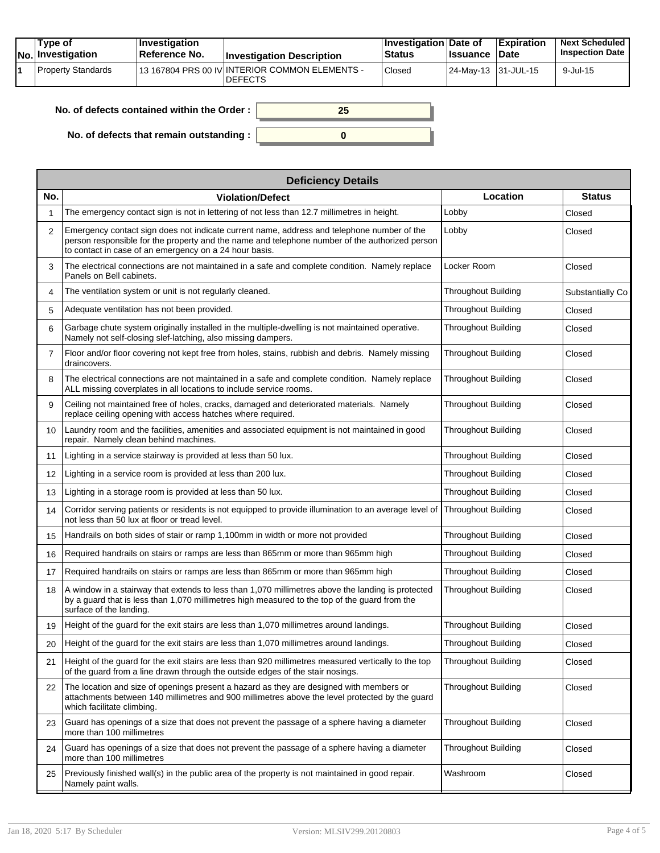|  | Tvpe of<br>$ No $ Investigation | <b>Investigation</b><br>⊺Reference No. | <b>Investigation Description</b>                                  | <b>∣Investigation Date of</b><br><b>Status</b> | <b>Ilssuance Date</b> | <b>Expiration</b> | <b>Next Scheduled</b><br><b>Inspection Date</b> |
|--|---------------------------------|----------------------------------------|-------------------------------------------------------------------|------------------------------------------------|-----------------------|-------------------|-------------------------------------------------|
|  | Property Standards              |                                        | 113 167804 PRS 00 IV INTERIOR COMMON ELEMENTS -<br><b>DEFECTS</b> | Closed                                         | 24-May-13 131-JUL-15  |                   | $9$ -Jul-15                                     |

| No. of defects contained within the Order: |  |
|--------------------------------------------|--|
| No. of defects that remain outstanding :   |  |

|                 | <b>Deficiency Details</b>                                                                                                                                                                                                                              |                            |                  |  |  |  |  |  |
|-----------------|--------------------------------------------------------------------------------------------------------------------------------------------------------------------------------------------------------------------------------------------------------|----------------------------|------------------|--|--|--|--|--|
| No.             | <b>Violation/Defect</b>                                                                                                                                                                                                                                | Location                   | <b>Status</b>    |  |  |  |  |  |
|                 | The emergency contact sign is not in lettering of not less than 12.7 millimetres in height.                                                                                                                                                            | Lobby                      | Closed           |  |  |  |  |  |
| 2               | Emergency contact sign does not indicate current name, address and telephone number of the<br>person responsible for the property and the name and telephone number of the authorized person<br>to contact in case of an emergency on a 24 hour basis. | Lobby                      | Closed           |  |  |  |  |  |
| 3               | The electrical connections are not maintained in a safe and complete condition. Namely replace<br>Panels on Bell cabinets.                                                                                                                             | Locker Room                | Closed           |  |  |  |  |  |
| 4               | The ventilation system or unit is not regularly cleaned.                                                                                                                                                                                               | <b>Throughout Building</b> | Substantially Co |  |  |  |  |  |
| 5               | Adequate ventilation has not been provided.                                                                                                                                                                                                            | <b>Throughout Building</b> | Closed           |  |  |  |  |  |
| 6               | Garbage chute system originally installed in the multiple-dwelling is not maintained operative.<br>Namely not self-closing slef-latching, also missing dampers.                                                                                        | <b>Throughout Building</b> | Closed           |  |  |  |  |  |
| $\overline{7}$  | Floor and/or floor covering not kept free from holes, stains, rubbish and debris. Namely missing<br>draincovers.                                                                                                                                       | <b>Throughout Building</b> | Closed           |  |  |  |  |  |
| 8               | The electrical connections are not maintained in a safe and complete condition. Namely replace<br>ALL missing coverplates in all locations to include service rooms.                                                                                   | <b>Throughout Building</b> | Closed           |  |  |  |  |  |
| 9               | Ceiling not maintained free of holes, cracks, damaged and deteriorated materials. Namely<br>replace ceiling opening with access hatches where required.                                                                                                | <b>Throughout Building</b> | Closed           |  |  |  |  |  |
| 10 <sup>1</sup> | Laundry room and the facilities, amenities and associated equipment is not maintained in good<br>repair. Namely clean behind machines.                                                                                                                 | <b>Throughout Building</b> | Closed           |  |  |  |  |  |
| 11              | Lighting in a service stairway is provided at less than 50 lux.                                                                                                                                                                                        | <b>Throughout Building</b> | Closed           |  |  |  |  |  |
| 12              | Lighting in a service room is provided at less than 200 lux.                                                                                                                                                                                           | <b>Throughout Building</b> | Closed           |  |  |  |  |  |
| 13              | Lighting in a storage room is provided at less than 50 lux.                                                                                                                                                                                            | <b>Throughout Building</b> | Closed           |  |  |  |  |  |
| 14              | Corridor serving patients or residents is not equipped to provide illumination to an average level of<br>not less than 50 lux at floor or tread level.                                                                                                 | <b>Throughout Building</b> | Closed           |  |  |  |  |  |
| 15              | Handrails on both sides of stair or ramp 1,100mm in width or more not provided                                                                                                                                                                         | <b>Throughout Building</b> | Closed           |  |  |  |  |  |
| 16              | Required handrails on stairs or ramps are less than 865mm or more than 965mm high                                                                                                                                                                      | <b>Throughout Building</b> | Closed           |  |  |  |  |  |
| 17              | Required handrails on stairs or ramps are less than 865mm or more than 965mm high                                                                                                                                                                      | <b>Throughout Building</b> | Closed           |  |  |  |  |  |
| 18              | A window in a stairway that extends to less than 1,070 millimetres above the landing is protected<br>by a guard that is less than 1,070 millimetres high measured to the top of the guard from the<br>surface of the landing.                          | Throughout Building        | Closed           |  |  |  |  |  |
| 19              | Height of the guard for the exit stairs are less than 1,070 millimetres around landings.                                                                                                                                                               | <b>Throughout Building</b> | Closed           |  |  |  |  |  |
| 20              | Height of the guard for the exit stairs are less than 1,070 millimetres around landings.                                                                                                                                                               | <b>Throughout Building</b> | Closed           |  |  |  |  |  |
| 21              | Height of the guard for the exit stairs are less than 920 millimetres measured vertically to the top<br>of the guard from a line drawn through the outside edges of the stair nosings.                                                                 | <b>Throughout Building</b> | Closed           |  |  |  |  |  |
| 22              | The location and size of openings present a hazard as they are designed with members or<br>attachments between 140 millimetres and 900 millimetres above the level protected by the guard<br>which facilitate climbing.                                | Throughout Building        | Closed           |  |  |  |  |  |
| 23              | Guard has openings of a size that does not prevent the passage of a sphere having a diameter<br>more than 100 millimetres                                                                                                                              | <b>Throughout Building</b> | Closed           |  |  |  |  |  |
| 24              | Guard has openings of a size that does not prevent the passage of a sphere having a diameter<br>more than 100 millimetres                                                                                                                              | Throughout Building        | Closed           |  |  |  |  |  |
| 25              | Previously finished wall(s) in the public area of the property is not maintained in good repair.<br>Namely paint walls.                                                                                                                                | Washroom                   | Closed           |  |  |  |  |  |